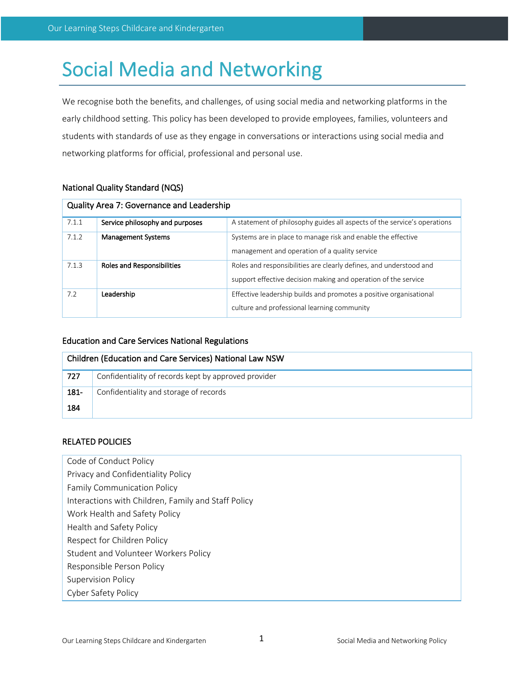# Social Media and Networking

We recognise both the benefits, and challenges, of using social media and networking platforms in the early childhood setting. This policy has been developed to provide employees, families, volunteers and students with standards of use as they engage in conversations or interactions using social media and networking platforms for official, professional and personal use.

# National Quality Standard (NQS)

| Quality Area 7: Governance and Leadership |                                   |                                                                                                                                      |  |  |
|-------------------------------------------|-----------------------------------|--------------------------------------------------------------------------------------------------------------------------------------|--|--|
| 7.1.1                                     | Service philosophy and purposes   | A statement of philosophy guides all aspects of the service's operations                                                             |  |  |
| 7.1.2                                     | <b>Management Systems</b>         | Systems are in place to manage risk and enable the effective<br>management and operation of a quality service                        |  |  |
| 7.1.3                                     | <b>Roles and Responsibilities</b> | Roles and responsibilities are clearly defines, and understood and<br>support effective decision making and operation of the service |  |  |
| 7.2                                       | Leadership                        | Effective leadership builds and promotes a positive organisational<br>culture and professional learning community                    |  |  |

# Education and Care Services National Regulations

| Children (Education and Care Services) National Law NSW |                                                      |  |
|---------------------------------------------------------|------------------------------------------------------|--|
| -727                                                    | Confidentiality of records kept by approved provider |  |
| 181-                                                    | Confidentiality and storage of records               |  |
| 184                                                     |                                                      |  |

# RELATED POLICIES

- Code of Conduct Policy
- Privacy and Confidentiality Policy
- Family Communication Policy
- Interactions with Children, Family and Staff Policy
- Work Health and Safety Policy
- Health and Safety Policy
- Respect for Children Policy
- Student and Volunteer Workers Policy
- Responsible Person Policy
- Supervision Policy
- Cyber Safety Policy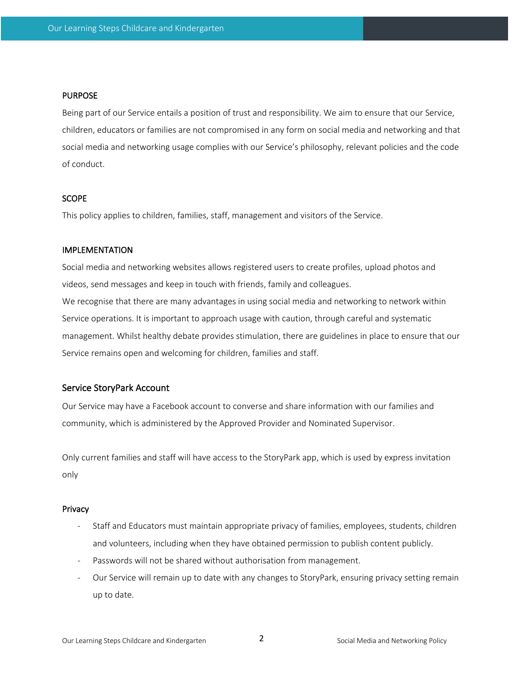## **PURPOSE**

Being part of our Service entails a position of trust and responsibility. We aim to ensure that our Service, children, educators or families are not compromised in any form on social media and networking and that social media and networking usage complies with our Service's philosophy, relevant policies and the code of conduct.

## **SCOPE**

This policy applies to children, families, staff, management and visitors of the Service.

#### IMPLEMENTATION

Social media and networking websites allows registered users to create profiles, upload photos and videos, send messages and keep in touch with friends, family and colleagues. We recognise that there are many advantages in using social media and networking to network within Service operations. It is important to approach usage with caution, through careful and systematic management. Whilst healthy debate provides stimulation, there are guidelines in place to ensure that our Service remains open and welcoming for children, families and staff.

#### Service StoryPark Account

Our Service may have a Facebook account to converse and share information with our families and community, which is administered by the Approved Provider and Nominated Supervisor.

Only current families and staff will have access to the StoryPark app, which is used by express invitation only

#### Privacy

- Staff and Educators must maintain appropriate privacy of families, employees, students, children and volunteers, including when they have obtained permission to publish content publicly.
- Passwords will not be shared without authorisation from management.
- Our Service will remain up to date with any changes to StoryPark, ensuring privacy setting remain up to date.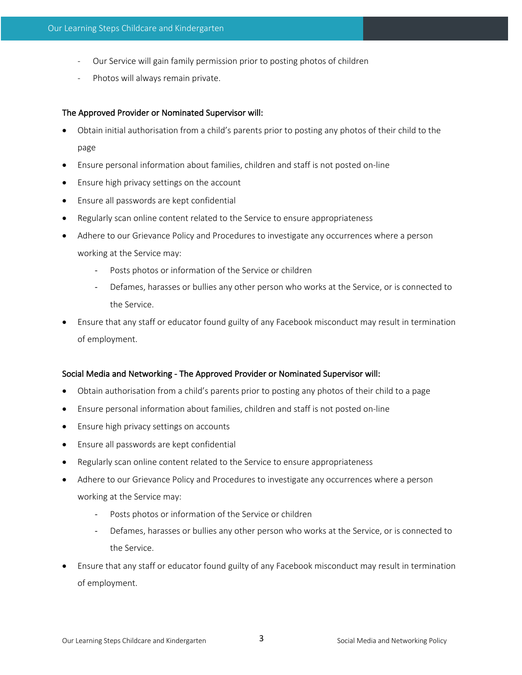- Our Service will gain family permission prior to posting photos of children
- Photos will always remain private.

## The Approved Provider or Nominated Supervisor will:

- Obtain initial authorisation from a child's parents prior to posting any photos of their child to the page
- Ensure personal information about families, children and staff is not posted on-line
- Ensure high privacy settings on the account
- Ensure all passwords are kept confidential
- Regularly scan online content related to the Service to ensure appropriateness
- Adhere to our Grievance Policy and Procedures to investigate any occurrences where a person working at the Service may:
	- Posts photos or information of the Service or children
	- Defames, harasses or bullies any other person who works at the Service, or is connected to the Service.
- Ensure that any staff or educator found guilty of any Facebook misconduct may result in termination of employment.

## Social Media and Networking - The Approved Provider or Nominated Supervisor will:

- Obtain authorisation from a child's parents prior to posting any photos of their child to a page
- Ensure personal information about families, children and staff is not posted on-line
- Ensure high privacy settings on accounts
- Ensure all passwords are kept confidential
- Regularly scan online content related to the Service to ensure appropriateness
- Adhere to our Grievance Policy and Procedures to investigate any occurrences where a person working at the Service may:
	- Posts photos or information of the Service or children
	- Defames, harasses or bullies any other person who works at the Service, or is connected to the Service.
- Ensure that any staff or educator found guilty of any Facebook misconduct may result in termination of employment.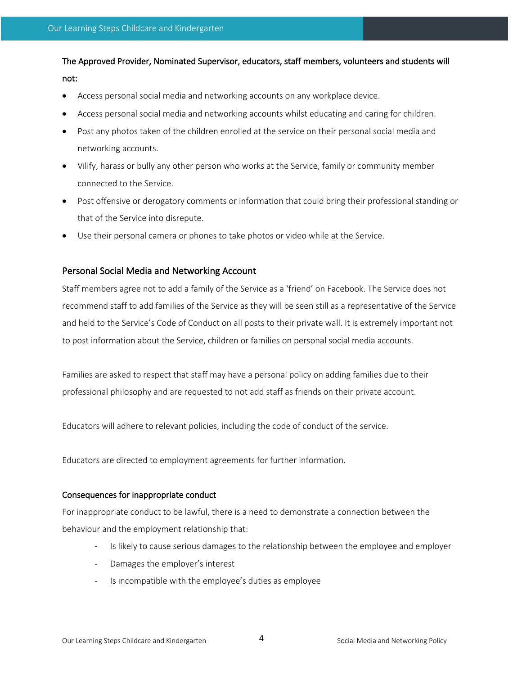The Approved Provider, Nominated Supervisor, educators, staff members, volunteers and students will not:

- Access personal social media and networking accounts on any workplace device.
- Access personal social media and networking accounts whilst educating and caring for children.
- Post any photos taken of the children enrolled at the service on their personal social media and networking accounts.
- Vilify, harass or bully any other person who works at the Service, family or community member connected to the Service.
- Post offensive or derogatory comments or information that could bring their professional standing or that of the Service into disrepute.
- Use their personal camera or phones to take photos or video while at the Service.

# Personal Social Media and Networking Account

Staff members agree not to add a family of the Service as a 'friend' on Facebook. The Service does not recommend staff to add families of the Service as they will be seen still as a representative of the Service and held to the Service's Code of Conduct on all posts to their private wall. It is extremely important not to post information about the Service, children or families on personal social media accounts.

Families are asked to respect that staff may have a personal policy on adding families due to their professional philosophy and are requested to not add staff as friends on their private account.

Educators will adhere to relevant policies, including the code of conduct of the service.

Educators are directed to employment agreements for further information.

## Consequences for inappropriate conduct

For inappropriate conduct to be lawful, there is a need to demonstrate a connection between the behaviour and the employment relationship that:

- Is likely to cause serious damages to the relationship between the employee and employer
- Damages the employer's interest
- Is incompatible with the employee's duties as employee